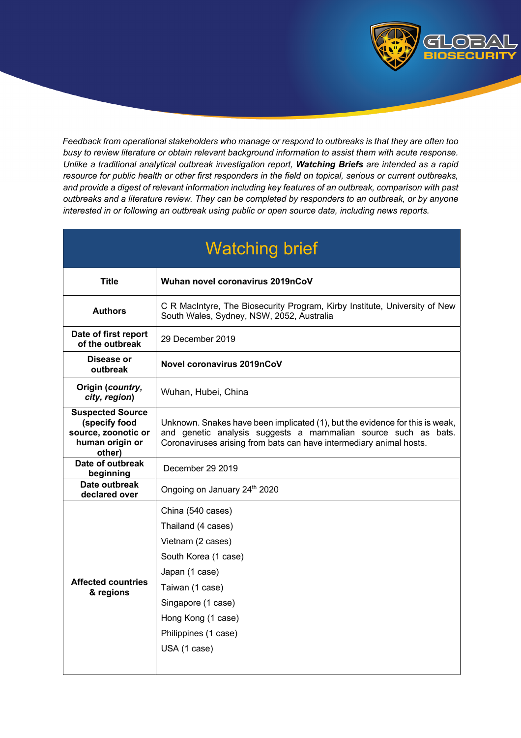

*Feedback from operational stakeholders who manage or respond to outbreaks is that they are often too busy to review literature or obtain relevant background information to assist them with acute response. Unlike a traditional analytical outbreak investigation report, Watching Briefs are intended as a rapid resource for public health or other first responders in the field on topical, serious or current outbreaks, and provide a digest of relevant information including key features of an outbreak, comparison with past outbreaks and a literature review. They can be completed by responders to an outbreak, or by anyone interested in or following an outbreak using public or open source data, including news reports.* 

| <b>Watching brief</b>                                                                        |                                                                                                                                                                                                                       |  |  |  |  |  |
|----------------------------------------------------------------------------------------------|-----------------------------------------------------------------------------------------------------------------------------------------------------------------------------------------------------------------------|--|--|--|--|--|
| <b>Title</b>                                                                                 | Wuhan novel coronavirus 2019nCoV                                                                                                                                                                                      |  |  |  |  |  |
| <b>Authors</b>                                                                               | C R MacIntyre, The Biosecurity Program, Kirby Institute, University of New<br>South Wales, Sydney, NSW, 2052, Australia                                                                                               |  |  |  |  |  |
| Date of first report<br>of the outbreak                                                      | 29 December 2019                                                                                                                                                                                                      |  |  |  |  |  |
| Disease or<br>outbreak                                                                       | Novel coronavirus 2019nCoV                                                                                                                                                                                            |  |  |  |  |  |
| Origin (country,<br>city, region)                                                            | Wuhan, Hubei, China                                                                                                                                                                                                   |  |  |  |  |  |
| <b>Suspected Source</b><br>(specify food<br>source, zoonotic or<br>human origin or<br>other) | Unknown. Snakes have been implicated (1), but the evidence for this is weak,<br>and genetic analysis suggests a mammalian source such as bats.<br>Coronaviruses arising from bats can have intermediary animal hosts. |  |  |  |  |  |
| Date of outbreak<br>beginning                                                                | December 29 2019                                                                                                                                                                                                      |  |  |  |  |  |
| Date outbreak<br>declared over                                                               | Ongoing on January 24th 2020                                                                                                                                                                                          |  |  |  |  |  |
| <b>Affected countries</b><br>& regions                                                       | China (540 cases)<br>Thailand (4 cases)<br>Vietnam (2 cases)<br>South Korea (1 case)<br>Japan (1 case)<br>Taiwan (1 case)<br>Singapore (1 case)<br>Hong Kong (1 case)<br>Philippines (1 case)<br>USA (1 case)         |  |  |  |  |  |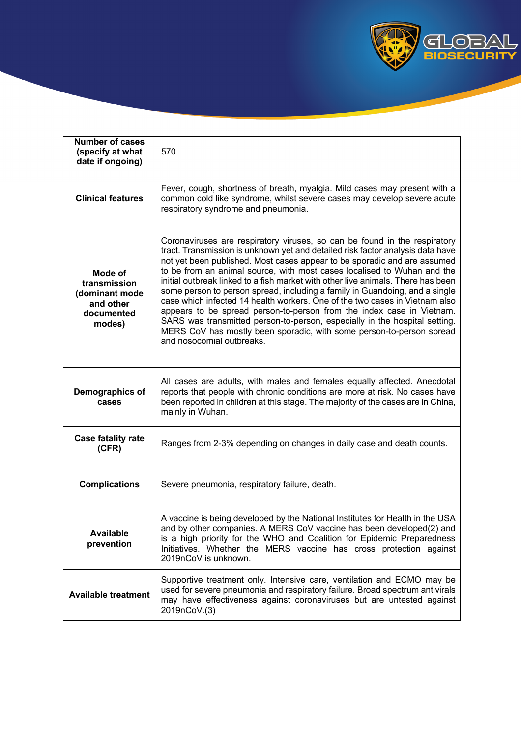

| <b>Number of cases</b><br>(specify at what<br>date if ongoing)                 | 570                                                                                                                                                                                                                                                                                                                                                                                                                                                                                                                                                                                                                                                                                                                                                                                                                              |  |  |  |  |  |
|--------------------------------------------------------------------------------|----------------------------------------------------------------------------------------------------------------------------------------------------------------------------------------------------------------------------------------------------------------------------------------------------------------------------------------------------------------------------------------------------------------------------------------------------------------------------------------------------------------------------------------------------------------------------------------------------------------------------------------------------------------------------------------------------------------------------------------------------------------------------------------------------------------------------------|--|--|--|--|--|
| <b>Clinical features</b>                                                       | Fever, cough, shortness of breath, myalgia. Mild cases may present with a<br>common cold like syndrome, whilst severe cases may develop severe acute<br>respiratory syndrome and pneumonia.                                                                                                                                                                                                                                                                                                                                                                                                                                                                                                                                                                                                                                      |  |  |  |  |  |
| Mode of<br>transmission<br>(dominant mode<br>and other<br>documented<br>modes) | Coronaviruses are respiratory viruses, so can be found in the respiratory<br>tract. Transmission is unknown yet and detailed risk factor analysis data have<br>not yet been published. Most cases appear to be sporadic and are assumed<br>to be from an animal source, with most cases localised to Wuhan and the<br>initial outbreak linked to a fish market with other live animals. There has been<br>some person to person spread, including a family in Guandoing, and a single<br>case which infected 14 health workers. One of the two cases in Vietnam also<br>appears to be spread person-to-person from the index case in Vietnam.<br>SARS was transmitted person-to-person, especially in the hospital setting.<br>MERS CoV has mostly been sporadic, with some person-to-person spread<br>and nosocomial outbreaks. |  |  |  |  |  |
| Demographics of<br>cases                                                       | All cases are adults, with males and females equally affected. Anecdotal<br>reports that people with chronic conditions are more at risk. No cases have<br>been reported in children at this stage. The majority of the cases are in China,<br>mainly in Wuhan.                                                                                                                                                                                                                                                                                                                                                                                                                                                                                                                                                                  |  |  |  |  |  |
| <b>Case fatality rate</b><br>(CFR)                                             | Ranges from 2-3% depending on changes in daily case and death counts.                                                                                                                                                                                                                                                                                                                                                                                                                                                                                                                                                                                                                                                                                                                                                            |  |  |  |  |  |
| <b>Complications</b>                                                           | Severe pneumonia, respiratory failure, death.                                                                                                                                                                                                                                                                                                                                                                                                                                                                                                                                                                                                                                                                                                                                                                                    |  |  |  |  |  |
| <b>Available</b><br>prevention                                                 | A vaccine is being developed by the National Institutes for Health in the USA<br>and by other companies. A MERS CoV vaccine has been developed(2) and<br>is a high priority for the WHO and Coalition for Epidemic Preparedness<br>Initiatives. Whether the MERS vaccine has cross protection against<br>2019nCoV is unknown.                                                                                                                                                                                                                                                                                                                                                                                                                                                                                                    |  |  |  |  |  |
| <b>Available treatment</b>                                                     | Supportive treatment only. Intensive care, ventilation and ECMO may be<br>used for severe pneumonia and respiratory failure. Broad spectrum antivirals<br>may have effectiveness against coronaviruses but are untested against<br>2019nCoV.(3)                                                                                                                                                                                                                                                                                                                                                                                                                                                                                                                                                                                  |  |  |  |  |  |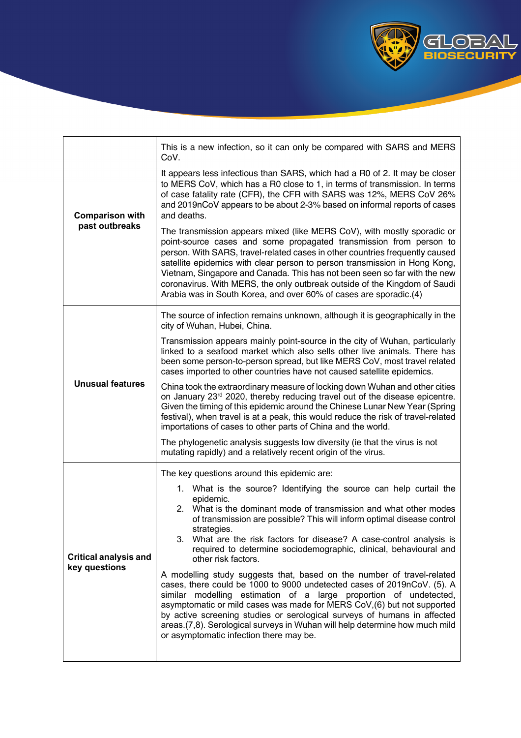

| <b>Comparison with</b><br>past outbreaks      | This is a new infection, so it can only be compared with SARS and MERS<br>CoV.                                                                                                                                                                                                                                                                                                                                                                                                                                                             |  |  |  |  |  |  |
|-----------------------------------------------|--------------------------------------------------------------------------------------------------------------------------------------------------------------------------------------------------------------------------------------------------------------------------------------------------------------------------------------------------------------------------------------------------------------------------------------------------------------------------------------------------------------------------------------------|--|--|--|--|--|--|
|                                               | It appears less infectious than SARS, which had a R0 of 2. It may be closer<br>to MERS CoV, which has a R0 close to 1, in terms of transmission. In terms<br>of case fatality rate (CFR), the CFR with SARS was 12%, MERS CoV 26%<br>and 2019nCoV appears to be about 2-3% based on informal reports of cases<br>and deaths.                                                                                                                                                                                                               |  |  |  |  |  |  |
|                                               | The transmission appears mixed (like MERS CoV), with mostly sporadic or<br>point-source cases and some propagated transmission from person to<br>person. With SARS, travel-related cases in other countries frequently caused<br>satellite epidemics with clear person to person transmission in Hong Kong,<br>Vietnam, Singapore and Canada. This has not been seen so far with the new<br>coronavirus. With MERS, the only outbreak outside of the Kingdom of Saudi<br>Arabia was in South Korea, and over 60% of cases are sporadic.(4) |  |  |  |  |  |  |
| <b>Unusual features</b>                       | The source of infection remains unknown, although it is geographically in the<br>city of Wuhan, Hubei, China.                                                                                                                                                                                                                                                                                                                                                                                                                              |  |  |  |  |  |  |
|                                               | Transmission appears mainly point-source in the city of Wuhan, particularly<br>linked to a seafood market which also sells other live animals. There has<br>been some person-to-person spread, but like MERS CoV, most travel related<br>cases imported to other countries have not caused satellite epidemics.                                                                                                                                                                                                                            |  |  |  |  |  |  |
|                                               | China took the extraordinary measure of locking down Wuhan and other cities<br>on January 23rd 2020, thereby reducing travel out of the disease epicentre.<br>Given the timing of this epidemic around the Chinese Lunar New Year (Spring<br>festival), when travel is at a peak, this would reduce the risk of travel-related<br>importations of cases to other parts of China and the world.                                                                                                                                             |  |  |  |  |  |  |
|                                               | The phylogenetic analysis suggests low diversity (ie that the virus is not<br>mutating rapidly) and a relatively recent origin of the virus.                                                                                                                                                                                                                                                                                                                                                                                               |  |  |  |  |  |  |
|                                               | The key questions around this epidemic are:                                                                                                                                                                                                                                                                                                                                                                                                                                                                                                |  |  |  |  |  |  |
| <b>Critical analysis and</b><br>key questions | 1. What is the source? Identifying the source can help curtail the<br>epidemic.<br>2. What is the dominant mode of transmission and what other modes<br>of transmission are possible? This will inform optimal disease control<br>strategies.<br>3.<br>What are the risk factors for disease? A case-control analysis is<br>required to determine sociodemographic, clinical, behavioural and<br>other risk factors.                                                                                                                       |  |  |  |  |  |  |
|                                               | A modelling study suggests that, based on the number of travel-related<br>cases, there could be 1000 to 9000 undetected cases of 2019nCoV. (5). A<br>similar modelling estimation of a large proportion of undetected,<br>asymptomatic or mild cases was made for MERS CoV, (6) but not supported<br>by active screening studies or serological surveys of humans in affected<br>areas.(7,8). Serological surveys in Wuhan will help determine how much mild<br>or asymptomatic infection there may be.                                    |  |  |  |  |  |  |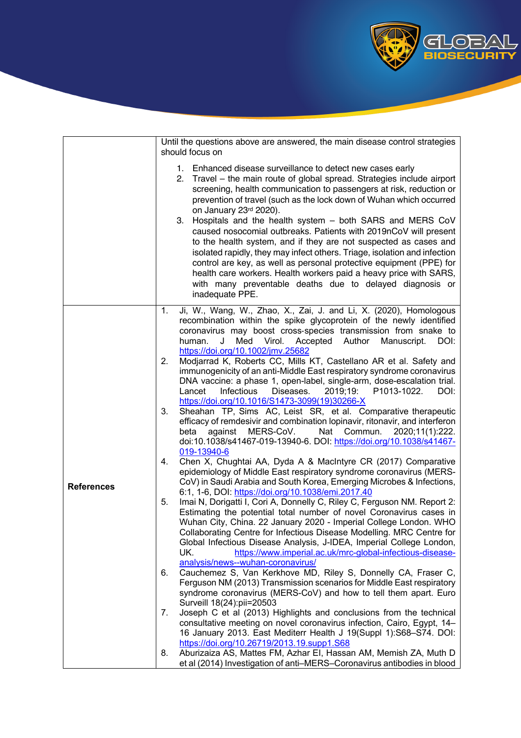

|                   | Until the questions above are answered, the main disease control strategies<br>should focus on                                                                                                                                                                                                                                                                                                                                                                                                                                                                                                                                                                                                                                                                                                                                                                                                                                                                                                                                                                                                                                                                                                                                                                                                                                                                                                                                                                                                                                                                                                                                                                                                                                                                                                                                                                                                                                                                                                                                                                                                                                                                                                                                                                                                                                                                                                                                                                      |  |  |  |  |  |  |
|-------------------|---------------------------------------------------------------------------------------------------------------------------------------------------------------------------------------------------------------------------------------------------------------------------------------------------------------------------------------------------------------------------------------------------------------------------------------------------------------------------------------------------------------------------------------------------------------------------------------------------------------------------------------------------------------------------------------------------------------------------------------------------------------------------------------------------------------------------------------------------------------------------------------------------------------------------------------------------------------------------------------------------------------------------------------------------------------------------------------------------------------------------------------------------------------------------------------------------------------------------------------------------------------------------------------------------------------------------------------------------------------------------------------------------------------------------------------------------------------------------------------------------------------------------------------------------------------------------------------------------------------------------------------------------------------------------------------------------------------------------------------------------------------------------------------------------------------------------------------------------------------------------------------------------------------------------------------------------------------------------------------------------------------------------------------------------------------------------------------------------------------------------------------------------------------------------------------------------------------------------------------------------------------------------------------------------------------------------------------------------------------------------------------------------------------------------------------------------------------------|--|--|--|--|--|--|
|                   | 1. Enhanced disease surveillance to detect new cases early<br>2. Travel - the main route of global spread. Strategies include airport<br>screening, health communication to passengers at risk, reduction or<br>prevention of travel (such as the lock down of Wuhan which occurred<br>on January 23rd 2020).<br>Hospitals and the health system - both SARS and MERS CoV<br>3.<br>caused nosocomial outbreaks. Patients with 2019nCoV will present<br>to the health system, and if they are not suspected as cases and<br>isolated rapidly, they may infect others. Triage, isolation and infection<br>control are key, as well as personal protective equipment (PPE) for<br>health care workers. Health workers paid a heavy price with SARS,<br>with many preventable deaths due to delayed diagnosis or<br>inadequate PPE.                                                                                                                                                                                                                                                                                                                                                                                                                                                                                                                                                                                                                                                                                                                                                                                                                                                                                                                                                                                                                                                                                                                                                                                                                                                                                                                                                                                                                                                                                                                                                                                                                                     |  |  |  |  |  |  |
| <b>References</b> | Ji, W., Wang, W., Zhao, X., Zai, J. and Li, X. (2020), Homologous<br>1.<br>recombination within the spike glycoprotein of the newly identified<br>coronavirus may boost cross-species transmission from snake to<br>Med<br>Virol.<br>Author<br>Manuscript.<br>human.<br>J<br>Accepted<br>DOI:<br>https://doi.org/10.1002/jmv.25682<br>Modjarrad K, Roberts CC, Mills KT, Castellano AR et al. Safety and<br>2.<br>immunogenicity of an anti-Middle East respiratory syndrome coronavirus<br>DNA vaccine: a phase 1, open-label, single-arm, dose-escalation trial.<br>Infectious<br>Diseases.<br>Lancet<br>2019;19:<br>P1013-1022.<br>DOI:<br>https://doi.org/10.1016/S1473-3099(19)30266-X<br>Sheahan TP, Sims AC, Leist SR, et al. Comparative therapeutic<br>3.<br>efficacy of remdesivir and combination lopinavir, ritonavir, and interferon<br>MERS-CoV.<br>Nat<br>Commun.<br>2020;11(1):222.<br>beta<br>against<br>doi:10.1038/s41467-019-13940-6. DOI: https://doi.org/10.1038/s41467-<br>019-13940-6<br>Chen X, Chughtai AA, Dyda A & MacIntyre CR (2017) Comparative<br>4.<br>epidemiology of Middle East respiratory syndrome coronavirus (MERS-<br>CoV) in Saudi Arabia and South Korea, Emerging Microbes & Infections,<br>6:1, 1-6, DOI: https://doi.org/10.1038/emi.2017.40<br>5.<br>Imai N, Dorigatti I, Cori A, Donnelly C, Riley C, Ferguson NM. Report 2:<br>Estimating the potential total number of novel Coronavirus cases in<br>Wuhan City, China. 22 January 2020 - Imperial College London. WHO<br>Collaborating Centre for Infectious Disease Modelling. MRC Centre for<br>Global Infectious Disease Analysis, J-IDEA, Imperial College London,<br>UK.<br>https://www.imperial.ac.uk/mrc-global-infectious-disease-<br>analysis/news--wuhan-coronavirus/<br>Cauchemez S, Van Kerkhove MD, Riley S, Donnelly CA, Fraser C,<br>6.<br>Ferguson NM (2013) Transmission scenarios for Middle East respiratory<br>syndrome coronavirus (MERS-CoV) and how to tell them apart. Euro<br>Surveill 18(24): pii=20503<br>Joseph C et al (2013) Highlights and conclusions from the technical<br>7.<br>consultative meeting on novel coronavirus infection, Cairo, Egypt, 14-<br>16 January 2013. East Mediterr Health J 19(Suppl 1):S68-S74. DOI:<br>https://doi.org/10.26719/2013.19.supp1.S68<br>Aburizaiza AS, Mattes FM, Azhar EI, Hassan AM, Memish ZA, Muth D<br>8.<br>et al (2014) Investigation of anti-MERS-Coronavirus antibodies in blood |  |  |  |  |  |  |